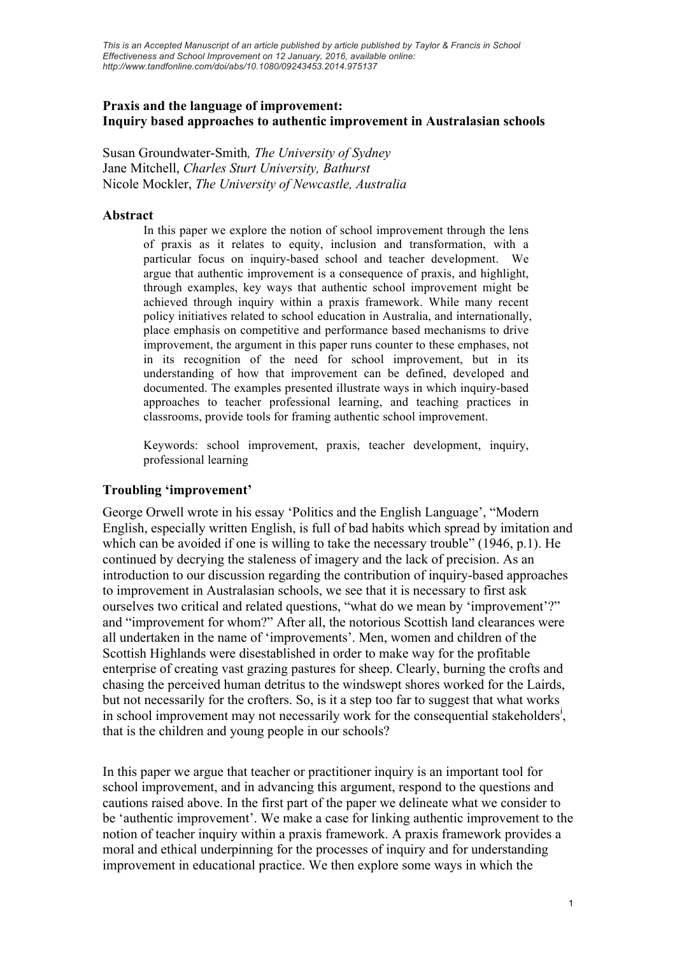## **Praxis and the language of improvement: Inquiry based approaches to authentic improvement in Australasian schools**

Susan Groundwater-Smith*, The University of Sydney* Jane Mitchell, *Charles Sturt University, Bathurst* Nicole Mockler, *The University of Newcastle, Australia*

### **Abstract**

In this paper we explore the notion of school improvement through the lens of praxis as it relates to equity, inclusion and transformation, with a particular focus on inquiry-based school and teacher development. We argue that authentic improvement is a consequence of praxis, and highlight, through examples, key ways that authentic school improvement might be achieved through inquiry within a praxis framework. While many recent policy initiatives related to school education in Australia, and internationally, place emphasis on competitive and performance based mechanisms to drive improvement, the argument in this paper runs counter to these emphases, not in its recognition of the need for school improvement, but in its understanding of how that improvement can be defined, developed and documented. The examples presented illustrate ways in which inquiry-based approaches to teacher professional learning, and teaching practices in classrooms, provide tools for framing authentic school improvement.

Keywords: school improvement, praxis, teacher development, inquiry, professional learning

#### **Troubling 'improvement'**

George Orwell wrote in his essay 'Politics and the English Language', "Modern English, especially written English, is full of bad habits which spread by imitation and which can be avoided if one is willing to take the necessary trouble" (1946, p.1). He continued by decrying the staleness of imagery and the lack of precision. As an introduction to our discussion regarding the contribution of inquiry-based approaches to improvement in Australasian schools, we see that it is necessary to first ask ourselves two critical and related questions, "what do we mean by 'improvement'?" and "improvement for whom?" After all, the notorious Scottish land clearances were all undertaken in the name of 'improvements'. Men, women and children of the Scottish Highlands were disestablished in order to make way for the profitable enterprise of creating vast grazing pastures for sheep. Clearly, burning the crofts and chasing the perceived human detritus to the windswept shores worked for the Lairds, but not necessarily for the crofters. So, is it a step too far to suggest that what works in school improvement may not necessarily work for the consequential stakeholders<sup>i</sup>, that is the children and young people in our schools?

In this paper we argue that teacher or practitioner inquiry is an important tool for school improvement, and in advancing this argument, respond to the questions and cautions raised above. In the first part of the paper we delineate what we consider to be 'authentic improvement'. We make a case for linking authentic improvement to the notion of teacher inquiry within a praxis framework. A praxis framework provides a moral and ethical underpinning for the processes of inquiry and for understanding improvement in educational practice. We then explore some ways in which the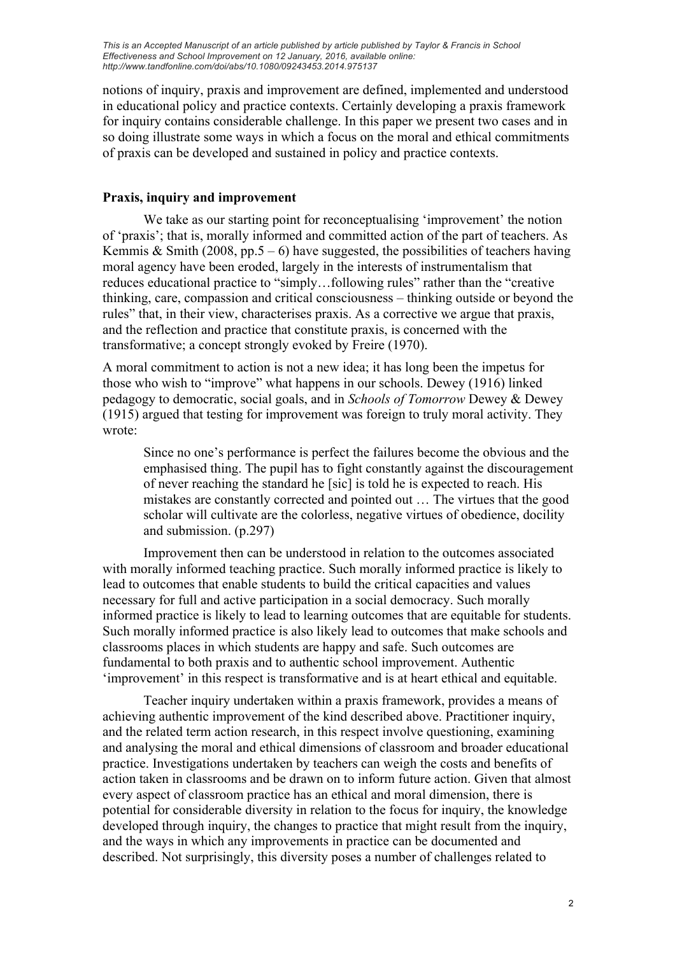notions of inquiry, praxis and improvement are defined, implemented and understood in educational policy and practice contexts. Certainly developing a praxis framework for inquiry contains considerable challenge. In this paper we present two cases and in so doing illustrate some ways in which a focus on the moral and ethical commitments of praxis can be developed and sustained in policy and practice contexts.

### **Praxis, inquiry and improvement**

We take as our starting point for reconceptualising 'improvement' the notion of 'praxis'; that is, morally informed and committed action of the part of teachers. As Kemmis & Smith (2008, pp.5 – 6) have suggested, the possibilities of teachers having moral agency have been eroded, largely in the interests of instrumentalism that reduces educational practice to "simply…following rules" rather than the "creative thinking, care, compassion and critical consciousness – thinking outside or beyond the rules" that, in their view, characterises praxis. As a corrective we argue that praxis, and the reflection and practice that constitute praxis, is concerned with the transformative; a concept strongly evoked by Freire (1970).

A moral commitment to action is not a new idea; it has long been the impetus for those who wish to "improve" what happens in our schools. Dewey (1916) linked pedagogy to democratic, social goals, and in *Schools of Tomorrow* Dewey & Dewey (1915) argued that testing for improvement was foreign to truly moral activity. They wrote:

Since no one's performance is perfect the failures become the obvious and the emphasised thing. The pupil has to fight constantly against the discouragement of never reaching the standard he [sic] is told he is expected to reach. His mistakes are constantly corrected and pointed out … The virtues that the good scholar will cultivate are the colorless, negative virtues of obedience, docility and submission. (p.297)

Improvement then can be understood in relation to the outcomes associated with morally informed teaching practice. Such morally informed practice is likely to lead to outcomes that enable students to build the critical capacities and values necessary for full and active participation in a social democracy. Such morally informed practice is likely to lead to learning outcomes that are equitable for students. Such morally informed practice is also likely lead to outcomes that make schools and classrooms places in which students are happy and safe. Such outcomes are fundamental to both praxis and to authentic school improvement. Authentic 'improvement' in this respect is transformative and is at heart ethical and equitable.

Teacher inquiry undertaken within a praxis framework, provides a means of achieving authentic improvement of the kind described above. Practitioner inquiry, and the related term action research, in this respect involve questioning, examining and analysing the moral and ethical dimensions of classroom and broader educational practice. Investigations undertaken by teachers can weigh the costs and benefits of action taken in classrooms and be drawn on to inform future action. Given that almost every aspect of classroom practice has an ethical and moral dimension, there is potential for considerable diversity in relation to the focus for inquiry, the knowledge developed through inquiry, the changes to practice that might result from the inquiry. and the ways in which any improvements in practice can be documented and described. Not surprisingly, this diversity poses a number of challenges related to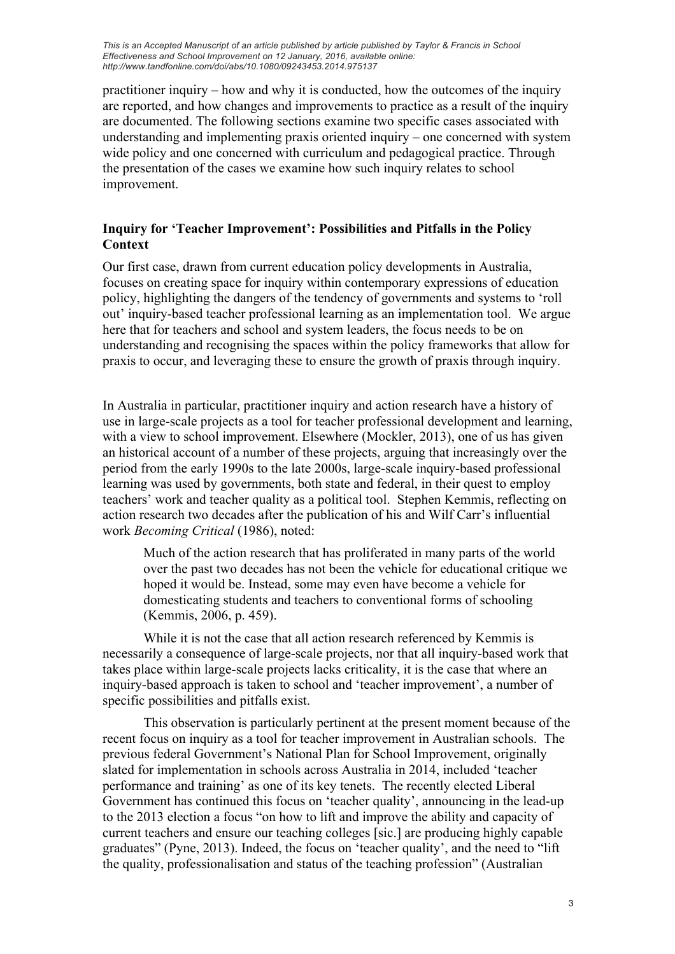practitioner inquiry – how and why it is conducted, how the outcomes of the inquiry are reported, and how changes and improvements to practice as a result of the inquiry are documented. The following sections examine two specific cases associated with understanding and implementing praxis oriented inquiry – one concerned with system wide policy and one concerned with curriculum and pedagogical practice. Through the presentation of the cases we examine how such inquiry relates to school improvement.

# **Inquiry for 'Teacher Improvement': Possibilities and Pitfalls in the Policy Context**

Our first case, drawn from current education policy developments in Australia, focuses on creating space for inquiry within contemporary expressions of education policy, highlighting the dangers of the tendency of governments and systems to 'roll out' inquiry-based teacher professional learning as an implementation tool. We argue here that for teachers and school and system leaders, the focus needs to be on understanding and recognising the spaces within the policy frameworks that allow for praxis to occur, and leveraging these to ensure the growth of praxis through inquiry.

In Australia in particular, practitioner inquiry and action research have a history of use in large-scale projects as a tool for teacher professional development and learning, with a view to school improvement. Elsewhere (Mockler, 2013), one of us has given an historical account of a number of these projects, arguing that increasingly over the period from the early 1990s to the late 2000s, large-scale inquiry-based professional learning was used by governments, both state and federal, in their quest to employ teachers' work and teacher quality as a political tool. Stephen Kemmis, reflecting on action research two decades after the publication of his and Wilf Carr's influential work *Becoming Critical* (1986), noted:

Much of the action research that has proliferated in many parts of the world over the past two decades has not been the vehicle for educational critique we hoped it would be. Instead, some may even have become a vehicle for domesticating students and teachers to conventional forms of schooling (Kemmis, 2006, p. 459).

While it is not the case that all action research referenced by Kemmis is necessarily a consequence of large-scale projects, nor that all inquiry-based work that takes place within large-scale projects lacks criticality, it is the case that where an inquiry-based approach is taken to school and 'teacher improvement', a number of specific possibilities and pitfalls exist.

This observation is particularly pertinent at the present moment because of the recent focus on inquiry as a tool for teacher improvement in Australian schools. The previous federal Government's National Plan for School Improvement, originally slated for implementation in schools across Australia in 2014, included 'teacher performance and training' as one of its key tenets. The recently elected Liberal Government has continued this focus on 'teacher quality', announcing in the lead-up to the 2013 election a focus "on how to lift and improve the ability and capacity of current teachers and ensure our teaching colleges [sic.] are producing highly capable graduates" (Pyne, 2013). Indeed, the focus on 'teacher quality', and the need to "lift the quality, professionalisation and status of the teaching profession" (Australian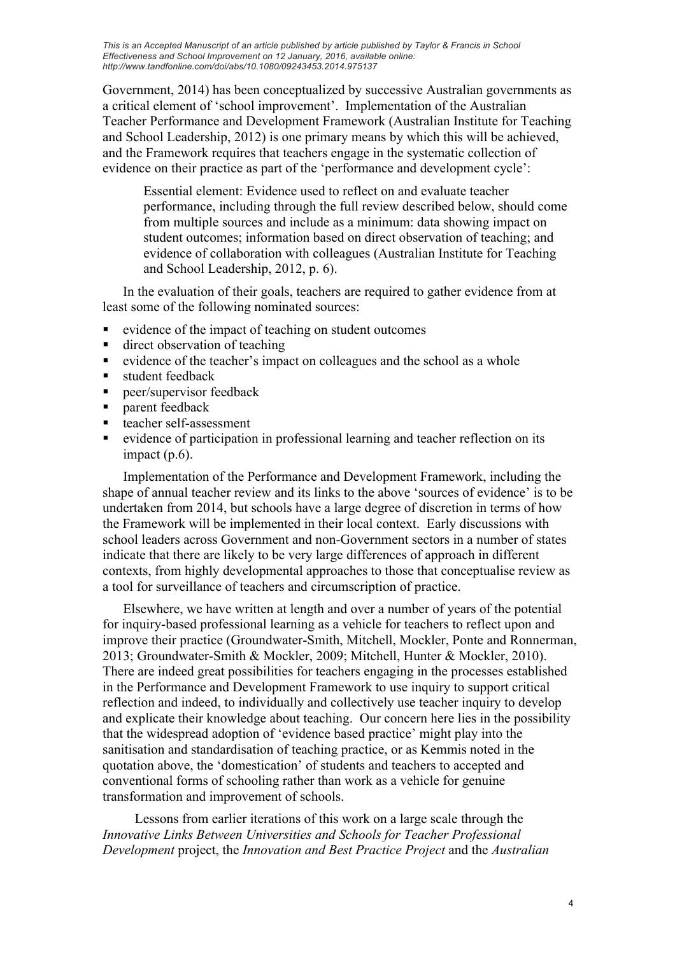Government, 2014) has been conceptualized by successive Australian governments as a critical element of 'school improvement'. Implementation of the Australian Teacher Performance and Development Framework (Australian Institute for Teaching and School Leadership, 2012) is one primary means by which this will be achieved, and the Framework requires that teachers engage in the systematic collection of evidence on their practice as part of the 'performance and development cycle':

Essential element: Evidence used to reflect on and evaluate teacher performance, including through the full review described below, should come from multiple sources and include as a minimum: data showing impact on student outcomes; information based on direct observation of teaching; and evidence of collaboration with colleagues (Australian Institute for Teaching and School Leadership, 2012, p. 6).

In the evaluation of their goals, teachers are required to gather evidence from at least some of the following nominated sources:

- evidence of the impact of teaching on student outcomes
- direct observation of teaching
- evidence of the teacher's impact on colleagues and the school as a whole
- student feedback
- **•** peer/supervisor feedback
- parent feedback
- teacher self-assessment
- evidence of participation in professional learning and teacher reflection on its impact (p.6).

Implementation of the Performance and Development Framework, including the shape of annual teacher review and its links to the above 'sources of evidence' is to be undertaken from 2014, but schools have a large degree of discretion in terms of how the Framework will be implemented in their local context. Early discussions with school leaders across Government and non-Government sectors in a number of states indicate that there are likely to be very large differences of approach in different contexts, from highly developmental approaches to those that conceptualise review as a tool for surveillance of teachers and circumscription of practice.

Elsewhere, we have written at length and over a number of years of the potential for inquiry-based professional learning as a vehicle for teachers to reflect upon and improve their practice (Groundwater-Smith, Mitchell, Mockler, Ponte and Ronnerman, 2013; Groundwater-Smith & Mockler, 2009; Mitchell, Hunter & Mockler, 2010). There are indeed great possibilities for teachers engaging in the processes established in the Performance and Development Framework to use inquiry to support critical reflection and indeed, to individually and collectively use teacher inquiry to develop and explicate their knowledge about teaching. Our concern here lies in the possibility that the widespread adoption of 'evidence based practice' might play into the sanitisation and standardisation of teaching practice, or as Kemmis noted in the quotation above, the 'domestication' of students and teachers to accepted and conventional forms of schooling rather than work as a vehicle for genuine transformation and improvement of schools.

Lessons from earlier iterations of this work on a large scale through the *Innovative Links Between Universities and Schools for Teacher Professional Development* project, the *Innovation and Best Practice Project* and the *Australian*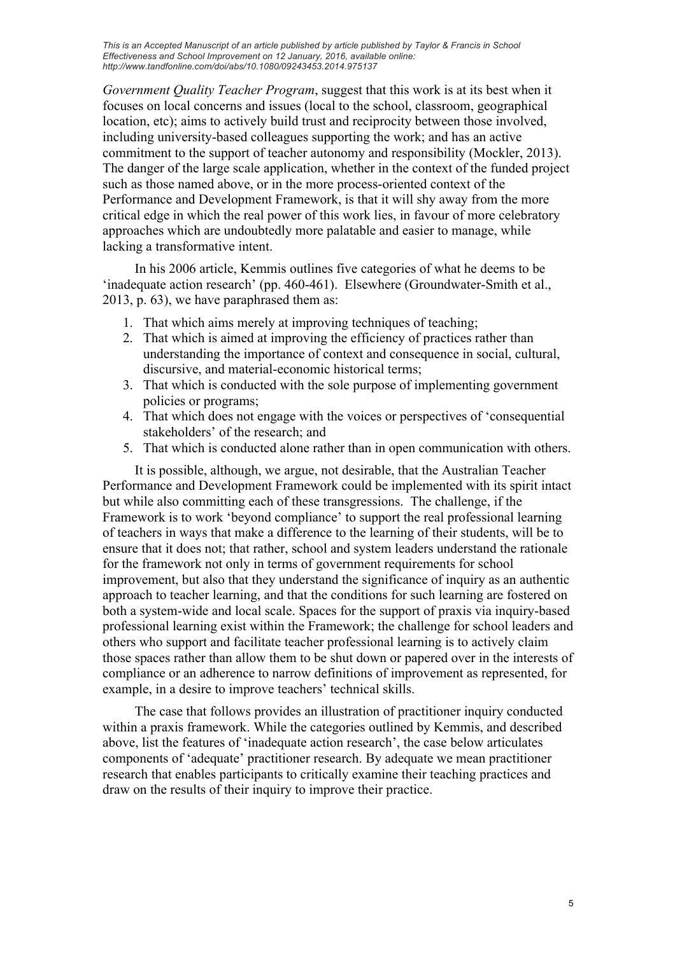*Government Quality Teacher Program*, suggest that this work is at its best when it focuses on local concerns and issues (local to the school, classroom, geographical location, etc); aims to actively build trust and reciprocity between those involved, including university-based colleagues supporting the work; and has an active commitment to the support of teacher autonomy and responsibility (Mockler, 2013). The danger of the large scale application, whether in the context of the funded project such as those named above, or in the more process-oriented context of the Performance and Development Framework, is that it will shy away from the more critical edge in which the real power of this work lies, in favour of more celebratory approaches which are undoubtedly more palatable and easier to manage, while lacking a transformative intent.

In his 2006 article, Kemmis outlines five categories of what he deems to be 'inadequate action research' (pp. 460-461). Elsewhere (Groundwater-Smith et al., 2013, p. 63), we have paraphrased them as:

- 1. That which aims merely at improving techniques of teaching;
- 2. That which is aimed at improving the efficiency of practices rather than understanding the importance of context and consequence in social, cultural, discursive, and material-economic historical terms;
- 3. That which is conducted with the sole purpose of implementing government policies or programs;
- 4. That which does not engage with the voices or perspectives of 'consequential stakeholders' of the research; and
- 5. That which is conducted alone rather than in open communication with others.

It is possible, although, we argue, not desirable, that the Australian Teacher Performance and Development Framework could be implemented with its spirit intact but while also committing each of these transgressions. The challenge, if the Framework is to work 'beyond compliance' to support the real professional learning of teachers in ways that make a difference to the learning of their students, will be to ensure that it does not; that rather, school and system leaders understand the rationale for the framework not only in terms of government requirements for school improvement, but also that they understand the significance of inquiry as an authentic approach to teacher learning, and that the conditions for such learning are fostered on both a system-wide and local scale. Spaces for the support of praxis via inquiry-based professional learning exist within the Framework; the challenge for school leaders and others who support and facilitate teacher professional learning is to actively claim those spaces rather than allow them to be shut down or papered over in the interests of compliance or an adherence to narrow definitions of improvement as represented, for example, in a desire to improve teachers' technical skills.

The case that follows provides an illustration of practitioner inquiry conducted within a praxis framework. While the categories outlined by Kemmis, and described above, list the features of 'inadequate action research', the case below articulates components of 'adequate' practitioner research. By adequate we mean practitioner research that enables participants to critically examine their teaching practices and draw on the results of their inquiry to improve their practice.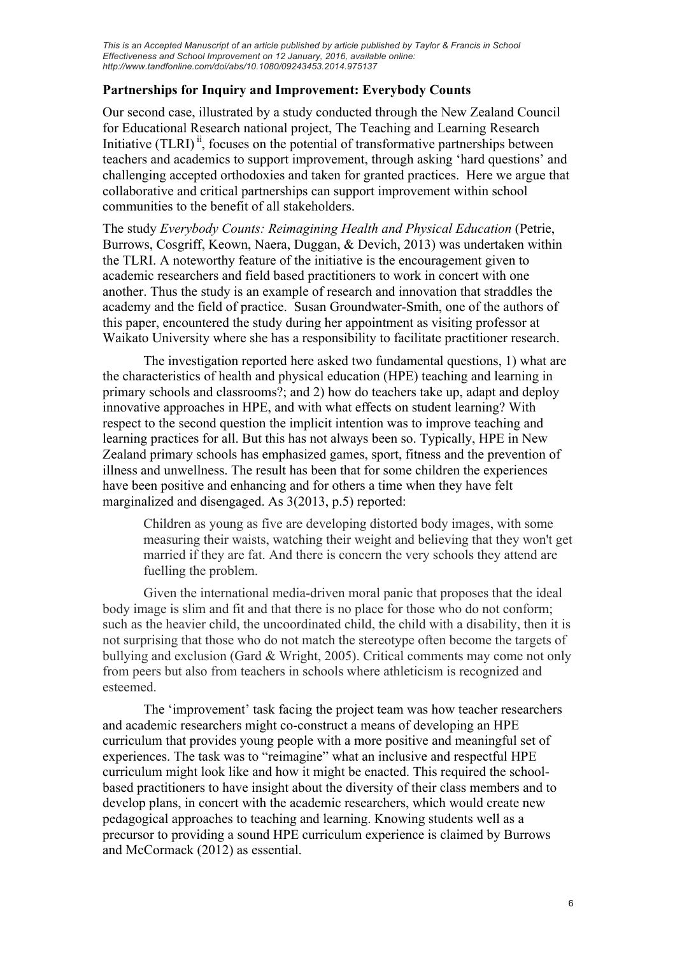# **Partnerships for Inquiry and Improvement: Everybody Counts**

Our second case, illustrated by a study conducted through the New Zealand Council for Educational Research national project, The Teaching and Learning Research Initiative  $(TLRI)^{ii}$ , focuses on the potential of transformative partnerships between teachers and academics to support improvement, through asking 'hard questions' and challenging accepted orthodoxies and taken for granted practices. Here we argue that collaborative and critical partnerships can support improvement within school communities to the benefit of all stakeholders.

The study *Everybody Counts: Reimagining Health and Physical Education* (Petrie, Burrows, Cosgriff, Keown, Naera, Duggan, & Devich, 2013) was undertaken within the TLRI. A noteworthy feature of the initiative is the encouragement given to academic researchers and field based practitioners to work in concert with one another. Thus the study is an example of research and innovation that straddles the academy and the field of practice. Susan Groundwater-Smith, one of the authors of this paper, encountered the study during her appointment as visiting professor at Waikato University where she has a responsibility to facilitate practitioner research.

The investigation reported here asked two fundamental questions, 1) what are the characteristics of health and physical education (HPE) teaching and learning in primary schools and classrooms?; and 2) how do teachers take up, adapt and deploy innovative approaches in HPE, and with what effects on student learning? With respect to the second question the implicit intention was to improve teaching and learning practices for all. But this has not always been so. Typically, HPE in New Zealand primary schools has emphasized games, sport, fitness and the prevention of illness and unwellness. The result has been that for some children the experiences have been positive and enhancing and for others a time when they have felt marginalized and disengaged. As 3(2013, p.5) reported:

Children as young as five are developing distorted body images, with some measuring their waists, watching their weight and believing that they won't get married if they are fat. And there is concern the very schools they attend are fuelling the problem.

Given the international media-driven moral panic that proposes that the ideal body image is slim and fit and that there is no place for those who do not conform; such as the heavier child, the uncoordinated child, the child with a disability, then it is not surprising that those who do not match the stereotype often become the targets of bullying and exclusion (Gard & Wright, 2005). Critical comments may come not only from peers but also from teachers in schools where athleticism is recognized and esteemed.

The 'improvement' task facing the project team was how teacher researchers and academic researchers might co-construct a means of developing an HPE curriculum that provides young people with a more positive and meaningful set of experiences. The task was to "reimagine" what an inclusive and respectful HPE curriculum might look like and how it might be enacted. This required the schoolbased practitioners to have insight about the diversity of their class members and to develop plans, in concert with the academic researchers, which would create new pedagogical approaches to teaching and learning. Knowing students well as a precursor to providing a sound HPE curriculum experience is claimed by Burrows and McCormack (2012) as essential.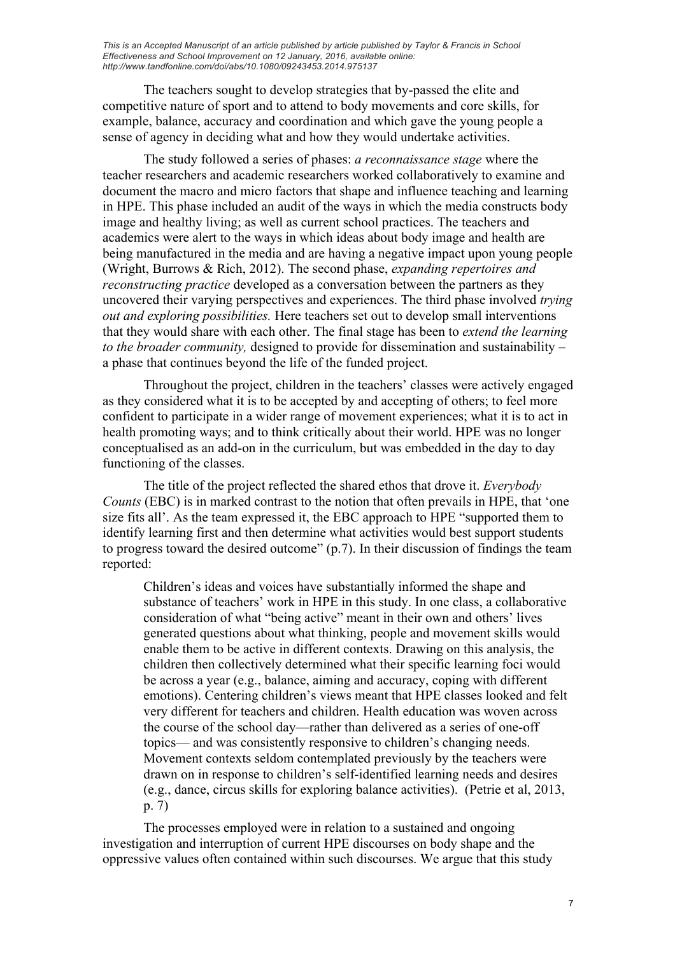The teachers sought to develop strategies that by-passed the elite and competitive nature of sport and to attend to body movements and core skills, for example, balance, accuracy and coordination and which gave the young people a sense of agency in deciding what and how they would undertake activities.

The study followed a series of phases: *a reconnaissance stage* where the teacher researchers and academic researchers worked collaboratively to examine and document the macro and micro factors that shape and influence teaching and learning in HPE. This phase included an audit of the ways in which the media constructs body image and healthy living; as well as current school practices. The teachers and academics were alert to the ways in which ideas about body image and health are being manufactured in the media and are having a negative impact upon young people (Wright, Burrows & Rich, 2012). The second phase, *expanding repertoires and reconstructing practice* developed as a conversation between the partners as they uncovered their varying perspectives and experiences. The third phase involved *trying out and exploring possibilities.* Here teachers set out to develop small interventions that they would share with each other. The final stage has been to *extend the learning to the broader community,* designed to provide for dissemination and sustainability – a phase that continues beyond the life of the funded project.

Throughout the project, children in the teachers' classes were actively engaged as they considered what it is to be accepted by and accepting of others; to feel more confident to participate in a wider range of movement experiences; what it is to act in health promoting ways; and to think critically about their world. HPE was no longer conceptualised as an add-on in the curriculum, but was embedded in the day to day functioning of the classes.

The title of the project reflected the shared ethos that drove it. *Everybody Counts* (EBC) is in marked contrast to the notion that often prevails in HPE, that 'one size fits all'. As the team expressed it, the EBC approach to HPE "supported them to identify learning first and then determine what activities would best support students to progress toward the desired outcome" (p.7). In their discussion of findings the team reported:

Children's ideas and voices have substantially informed the shape and substance of teachers' work in HPE in this study. In one class, a collaborative consideration of what "being active" meant in their own and others' lives generated questions about what thinking, people and movement skills would enable them to be active in different contexts. Drawing on this analysis, the children then collectively determined what their specific learning foci would be across a year (e.g., balance, aiming and accuracy, coping with different emotions). Centering children's views meant that HPE classes looked and felt very different for teachers and children. Health education was woven across the course of the school day—rather than delivered as a series of one-off topics— and was consistently responsive to children's changing needs. Movement contexts seldom contemplated previously by the teachers were drawn on in response to children's self-identified learning needs and desires (e.g., dance, circus skills for exploring balance activities). (Petrie et al, 2013, p. 7)

The processes employed were in relation to a sustained and ongoing investigation and interruption of current HPE discourses on body shape and the oppressive values often contained within such discourses. We argue that this study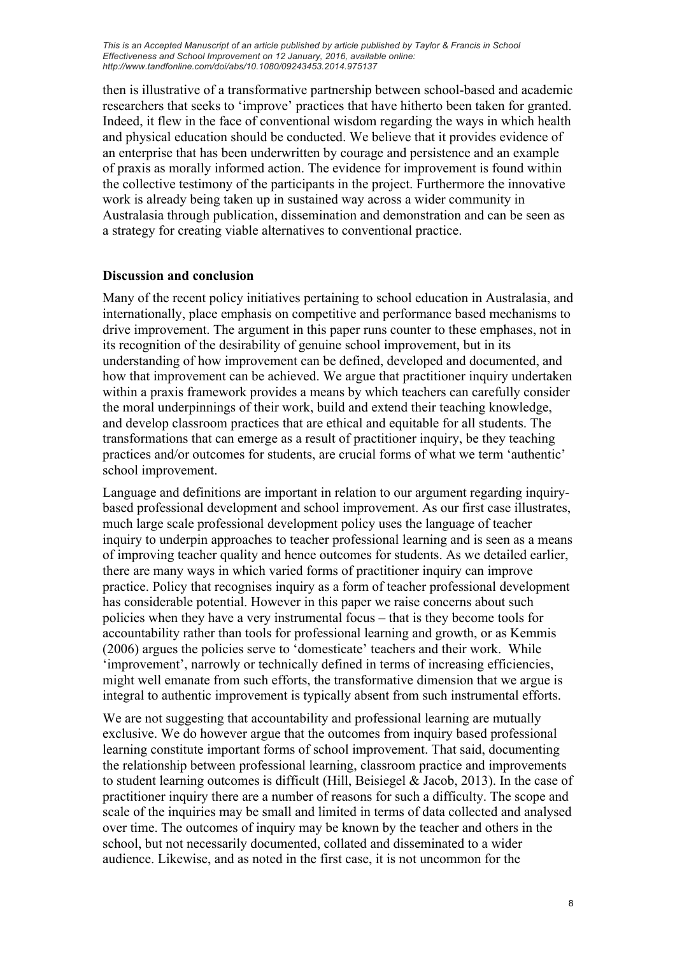then is illustrative of a transformative partnership between school-based and academic researchers that seeks to 'improve' practices that have hitherto been taken for granted. Indeed, it flew in the face of conventional wisdom regarding the ways in which health and physical education should be conducted. We believe that it provides evidence of an enterprise that has been underwritten by courage and persistence and an example of praxis as morally informed action. The evidence for improvement is found within the collective testimony of the participants in the project. Furthermore the innovative work is already being taken up in sustained way across a wider community in Australasia through publication, dissemination and demonstration and can be seen as a strategy for creating viable alternatives to conventional practice.

## **Discussion and conclusion**

Many of the recent policy initiatives pertaining to school education in Australasia, and internationally, place emphasis on competitive and performance based mechanisms to drive improvement. The argument in this paper runs counter to these emphases, not in its recognition of the desirability of genuine school improvement, but in its understanding of how improvement can be defined, developed and documented, and how that improvement can be achieved. We argue that practitioner inquiry undertaken within a praxis framework provides a means by which teachers can carefully consider the moral underpinnings of their work, build and extend their teaching knowledge, and develop classroom practices that are ethical and equitable for all students. The transformations that can emerge as a result of practitioner inquiry, be they teaching practices and/or outcomes for students, are crucial forms of what we term 'authentic' school improvement.

Language and definitions are important in relation to our argument regarding inquirybased professional development and school improvement. As our first case illustrates, much large scale professional development policy uses the language of teacher inquiry to underpin approaches to teacher professional learning and is seen as a means of improving teacher quality and hence outcomes for students. As we detailed earlier, there are many ways in which varied forms of practitioner inquiry can improve practice. Policy that recognises inquiry as a form of teacher professional development has considerable potential. However in this paper we raise concerns about such policies when they have a very instrumental focus – that is they become tools for accountability rather than tools for professional learning and growth, or as Kemmis (2006) argues the policies serve to 'domesticate' teachers and their work. While 'improvement', narrowly or technically defined in terms of increasing efficiencies, might well emanate from such efforts, the transformative dimension that we argue is integral to authentic improvement is typically absent from such instrumental efforts.

We are not suggesting that accountability and professional learning are mutually exclusive. We do however argue that the outcomes from inquiry based professional learning constitute important forms of school improvement. That said, documenting the relationship between professional learning, classroom practice and improvements to student learning outcomes is difficult (Hill, Beisiegel & Jacob, 2013). In the case of practitioner inquiry there are a number of reasons for such a difficulty. The scope and scale of the inquiries may be small and limited in terms of data collected and analysed over time. The outcomes of inquiry may be known by the teacher and others in the school, but not necessarily documented, collated and disseminated to a wider audience. Likewise, and as noted in the first case, it is not uncommon for the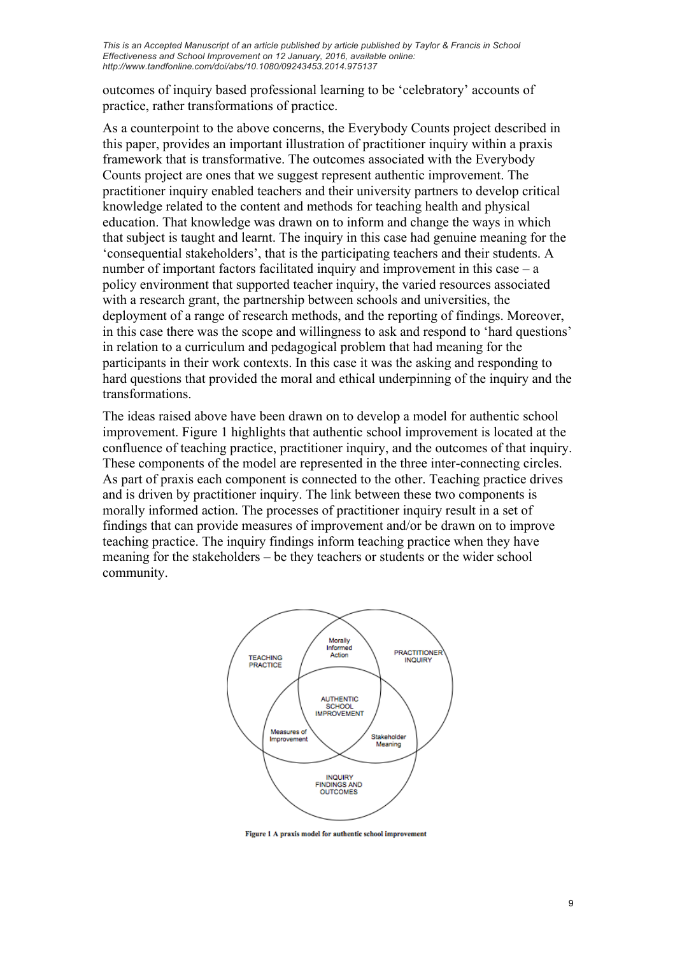outcomes of inquiry based professional learning to be 'celebratory' accounts of practice, rather transformations of practice.

As a counterpoint to the above concerns, the Everybody Counts project described in this paper, provides an important illustration of practitioner inquiry within a praxis framework that is transformative. The outcomes associated with the Everybody Counts project are ones that we suggest represent authentic improvement. The practitioner inquiry enabled teachers and their university partners to develop critical knowledge related to the content and methods for teaching health and physical education. That knowledge was drawn on to inform and change the ways in which that subject is taught and learnt. The inquiry in this case had genuine meaning for the 'consequential stakeholders', that is the participating teachers and their students. A number of important factors facilitated inquiry and improvement in this case – a policy environment that supported teacher inquiry, the varied resources associated with a research grant, the partnership between schools and universities, the deployment of a range of research methods, and the reporting of findings. Moreover, in this case there was the scope and willingness to ask and respond to 'hard questions' in relation to a curriculum and pedagogical problem that had meaning for the participants in their work contexts. In this case it was the asking and responding to hard questions that provided the moral and ethical underpinning of the inquiry and the transformations.

The ideas raised above have been drawn on to develop a model for authentic school improvement. Figure 1 highlights that authentic school improvement is located at the confluence of teaching practice, practitioner inquiry, and the outcomes of that inquiry. These components of the model are represented in the three inter-connecting circles. As part of praxis each component is connected to the other. Teaching practice drives and is driven by practitioner inquiry. The link between these two components is morally informed action. The processes of practitioner inquiry result in a set of findings that can provide measures of improvement and/or be drawn on to improve teaching practice. The inquiry findings inform teaching practice when they have meaning for the stakeholders – be they teachers or students or the wider school community.



Figure 1 A praxis model for authentic school improvement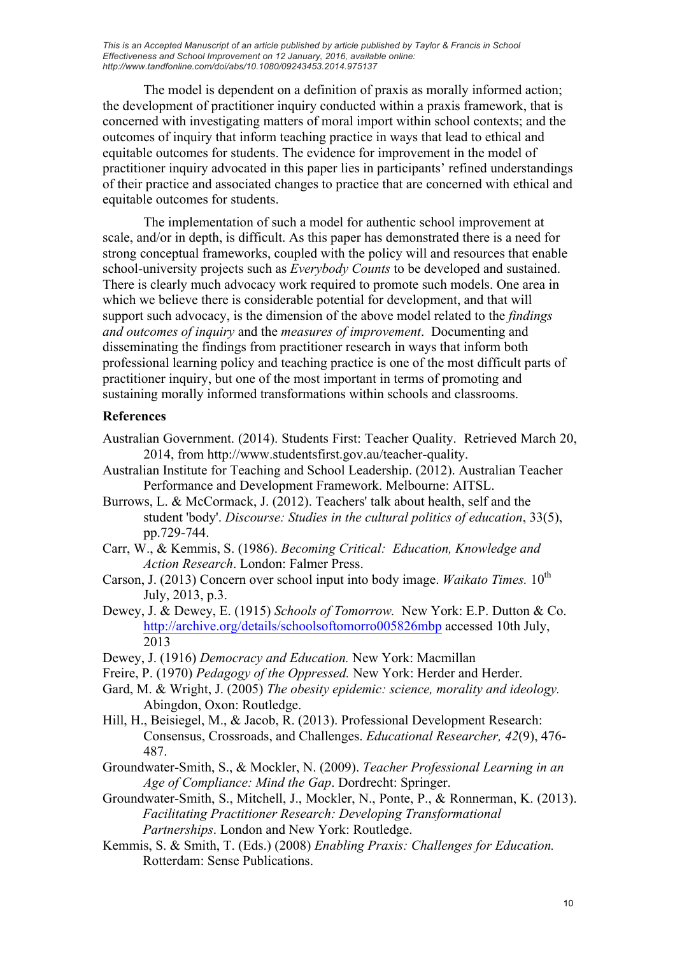The model is dependent on a definition of praxis as morally informed action; the development of practitioner inquiry conducted within a praxis framework, that is concerned with investigating matters of moral import within school contexts; and the outcomes of inquiry that inform teaching practice in ways that lead to ethical and equitable outcomes for students. The evidence for improvement in the model of practitioner inquiry advocated in this paper lies in participants' refined understandings of their practice and associated changes to practice that are concerned with ethical and equitable outcomes for students.

The implementation of such a model for authentic school improvement at scale, and/or in depth, is difficult. As this paper has demonstrated there is a need for strong conceptual frameworks, coupled with the policy will and resources that enable school-university projects such as *Everybody Counts* to be developed and sustained. There is clearly much advocacy work required to promote such models. One area in which we believe there is considerable potential for development, and that will support such advocacy, is the dimension of the above model related to the *findings and outcomes of inquiry* and the *measures of improvement*. Documenting and disseminating the findings from practitioner research in ways that inform both professional learning policy and teaching practice is one of the most difficult parts of practitioner inquiry, but one of the most important in terms of promoting and sustaining morally informed transformations within schools and classrooms.

#### **References**

- Australian Government. (2014). Students First: Teacher Quality. Retrieved March 20, 2014, from http://www.studentsfirst.gov.au/teacher-quality.
- Australian Institute for Teaching and School Leadership. (2012). Australian Teacher Performance and Development Framework. Melbourne: AITSL.
- Burrows, L. & McCormack, J. (2012). Teachers' talk about health, self and the student 'body'. *Discourse: Studies in the cultural politics of education*, 33(5), pp.729-744.
- Carr, W., & Kemmis, S. (1986). *Becoming Critical: Education, Knowledge and Action Research*. London: Falmer Press.
- Carson, J. (2013) Concern over school input into body image. *Waikato Times*. 10<sup>th</sup> July, 2013, p.3.
- Dewey, J. & Dewey, E. (1915) *Schools of Tomorrow.* New York: E.P. Dutton & Co. http://archive.org/details/schoolsoftomorro005826mbp accessed 10th July, 2013
- Dewey, J. (1916) *Democracy and Education.* New York: Macmillan
- Freire, P. (1970) *Pedagogy of the Oppressed.* New York: Herder and Herder.
- Gard, M. & Wright, J. (2005) *The obesity epidemic: science, morality and ideology.*  Abingdon, Oxon: Routledge.
- Hill, H., Beisiegel, M., & Jacob, R. (2013). Professional Development Research: Consensus, Crossroads, and Challenges. *Educational Researcher, 42*(9), 476- 487.
- Groundwater-Smith, S., & Mockler, N. (2009). *Teacher Professional Learning in an Age of Compliance: Mind the Gap*. Dordrecht: Springer.
- Groundwater-Smith, S., Mitchell, J., Mockler, N., Ponte, P., & Ronnerman, K. (2013). *Facilitating Practitioner Research: Developing Transformational Partnerships*. London and New York: Routledge.
- Kemmis, S. & Smith, T. (Eds.) (2008) *Enabling Praxis: Challenges for Education.* Rotterdam: Sense Publications.